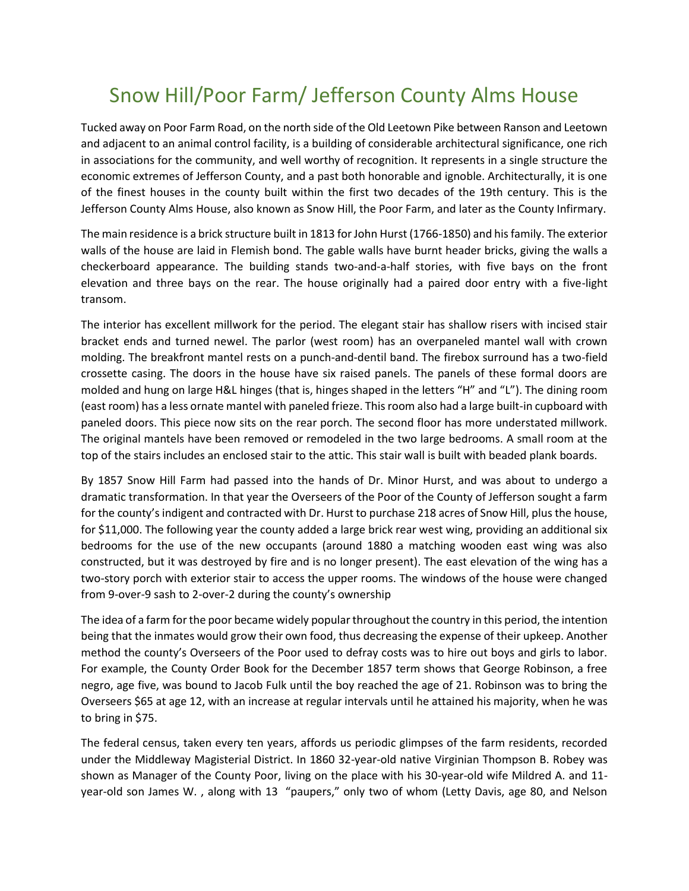## Snow Hill/Poor Farm/ Jefferson County Alms House

Tucked away on Poor Farm Road, on the north side of the Old Leetown Pike between Ranson and Leetown and adjacent to an animal control facility, is a building of considerable architectural significance, one rich in associations for the community, and well worthy of recognition. It represents in a single structure the economic extremes of Jefferson County, and a past both honorable and ignoble. Architecturally, it is one of the finest houses in the county built within the first two decades of the 19th century. This is the Jefferson County Alms House, also known as Snow Hill, the Poor Farm, and later as the County Infirmary.

The main residence is a brick structure built in 1813 for John Hurst (1766-1850) and his family. The exterior walls of the house are laid in Flemish bond. The gable walls have burnt header bricks, giving the walls a checkerboard appearance. The building stands two-and-a-half stories, with five bays on the front elevation and three bays on the rear. The house originally had a paired door entry with a five-light transom.

The interior has excellent millwork for the period. The elegant stair has shallow risers with incised stair bracket ends and turned newel. The parlor (west room) has an overpaneled mantel wall with crown molding. The breakfront mantel rests on a punch-and-dentil band. The firebox surround has a two-field crossette casing. The doors in the house have six raised panels. The panels of these formal doors are molded and hung on large H&L hinges (that is, hinges shaped in the letters "H" and "L"). The dining room (east room) has a less ornate mantel with paneled frieze. This room also had a large built-in cupboard with paneled doors. This piece now sits on the rear porch. The second floor has more understated millwork. The original mantels have been removed or remodeled in the two large bedrooms. A small room at the top of the stairs includes an enclosed stair to the attic. This stair wall is built with beaded plank boards.

By 1857 Snow Hill Farm had passed into the hands of Dr. Minor Hurst, and was about to undergo a dramatic transformation. In that year the Overseers of the Poor of the County of Jefferson sought a farm for the county's indigent and contracted with Dr. Hurst to purchase 218 acres of Snow Hill, plus the house, for \$11,000. The following year the county added a large brick rear west wing, providing an additional six bedrooms for the use of the new occupants (around 1880 a matching wooden east wing was also constructed, but it was destroyed by fire and is no longer present). The east elevation of the wing has a two-story porch with exterior stair to access the upper rooms. The windows of the house were changed from 9-over-9 sash to 2-over-2 during the county's ownership

The idea of a farm for the poor became widely popular throughout the country in this period, the intention being that the inmates would grow their own food, thus decreasing the expense of their upkeep. Another method the county's Overseers of the Poor used to defray costs was to hire out boys and girls to labor. For example, the County Order Book for the December 1857 term shows that George Robinson, a free negro, age five, was bound to Jacob Fulk until the boy reached the age of 21. Robinson was to bring the Overseers \$65 at age 12, with an increase at regular intervals until he attained his majority, when he was to bring in \$75.

The federal census, taken every ten years, affords us periodic glimpses of the farm residents, recorded under the Middleway Magisterial District. In 1860 32-year-old native Virginian Thompson B. Robey was shown as Manager of the County Poor, living on the place with his 30-year-old wife Mildred A. and 11 year-old son James W. , along with 13 "paupers," only two of whom (Letty Davis, age 80, and Nelson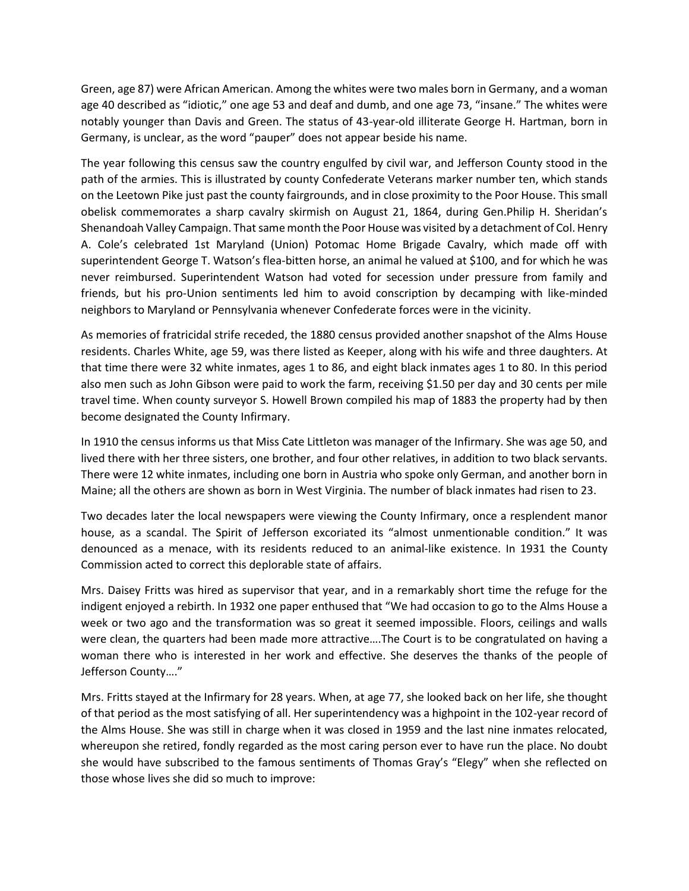Green, age 87) were African American. Among the whites were two males born in Germany, and a woman age 40 described as "idiotic," one age 53 and deaf and dumb, and one age 73, "insane." The whites were notably younger than Davis and Green. The status of 43-year-old illiterate George H. Hartman, born in Germany, is unclear, as the word "pauper" does not appear beside his name.

The year following this census saw the country engulfed by civil war, and Jefferson County stood in the path of the armies. This is illustrated by county Confederate Veterans marker number ten, which stands on the Leetown Pike just past the county fairgrounds, and in close proximity to the Poor House. This small obelisk commemorates a sharp cavalry skirmish on August 21, 1864, during Gen.Philip H. Sheridan's Shenandoah Valley Campaign. That same month the Poor House was visited by a detachment of Col. Henry A. Cole's celebrated 1st Maryland (Union) Potomac Home Brigade Cavalry, which made off with superintendent George T. Watson's flea-bitten horse, an animal he valued at \$100, and for which he was never reimbursed. Superintendent Watson had voted for secession under pressure from family and friends, but his pro-Union sentiments led him to avoid conscription by decamping with like-minded neighbors to Maryland or Pennsylvania whenever Confederate forces were in the vicinity.

As memories of fratricidal strife receded, the 1880 census provided another snapshot of the Alms House residents. Charles White, age 59, was there listed as Keeper, along with his wife and three daughters. At that time there were 32 white inmates, ages 1 to 86, and eight black inmates ages 1 to 80. In this period also men such as John Gibson were paid to work the farm, receiving \$1.50 per day and 30 cents per mile travel time. When county surveyor S. Howell Brown compiled his map of 1883 the property had by then become designated the County Infirmary.

In 1910 the census informs us that Miss Cate Littleton was manager of the Infirmary. She was age 50, and lived there with her three sisters, one brother, and four other relatives, in addition to two black servants. There were 12 white inmates, including one born in Austria who spoke only German, and another born in Maine; all the others are shown as born in West Virginia. The number of black inmates had risen to 23.

Two decades later the local newspapers were viewing the County Infirmary, once a resplendent manor house, as a scandal. The Spirit of Jefferson excoriated its "almost unmentionable condition." It was denounced as a menace, with its residents reduced to an animal-like existence. In 1931 the County Commission acted to correct this deplorable state of affairs.

Mrs. Daisey Fritts was hired as supervisor that year, and in a remarkably short time the refuge for the indigent enjoyed a rebirth. In 1932 one paper enthused that "We had occasion to go to the Alms House a week or two ago and the transformation was so great it seemed impossible. Floors, ceilings and walls were clean, the quarters had been made more attractive….The Court is to be congratulated on having a woman there who is interested in her work and effective. She deserves the thanks of the people of Jefferson County…."

Mrs. Fritts stayed at the Infirmary for 28 years. When, at age 77, she looked back on her life, she thought of that period as the most satisfying of all. Her superintendency was a highpoint in the 102-year record of the Alms House. She was still in charge when it was closed in 1959 and the last nine inmates relocated, whereupon she retired, fondly regarded as the most caring person ever to have run the place. No doubt she would have subscribed to the famous sentiments of Thomas Gray's "Elegy" when she reflected on those whose lives she did so much to improve: